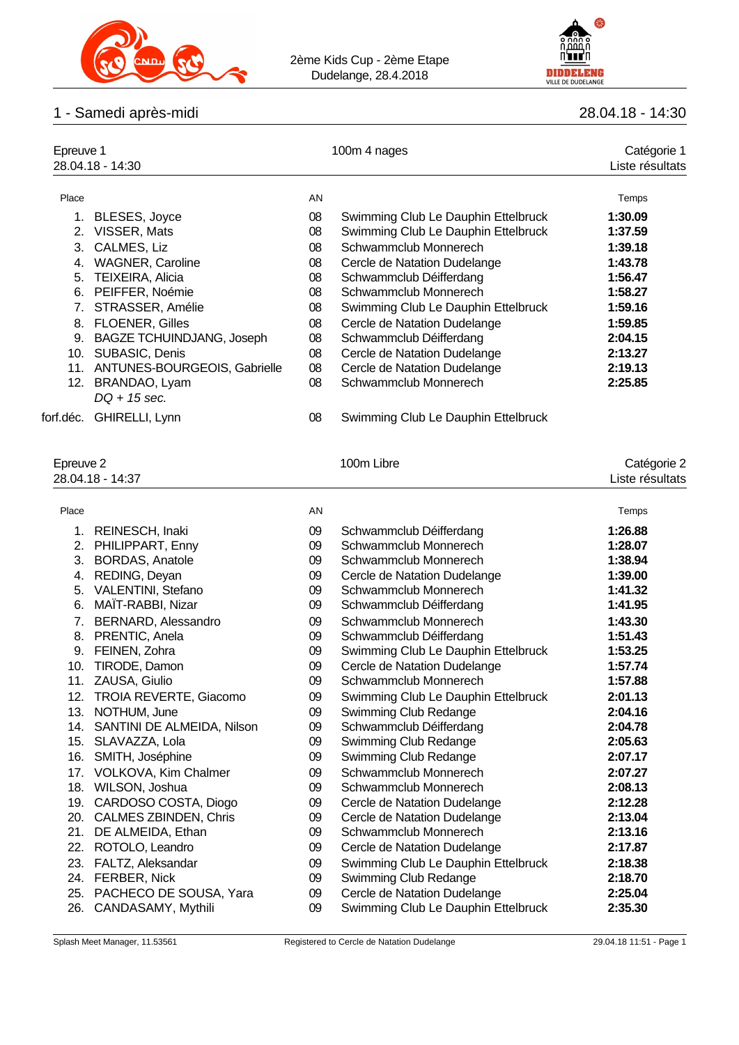



#### 1 - Samedi après-midi 28.04.18 - 14:30

| Epreuve 1<br>28.04.18 - 14:30 |                                  |    | 100m 4 nages                        | Catégorie 1<br>Liste résultats |
|-------------------------------|----------------------------------|----|-------------------------------------|--------------------------------|
| Place                         |                                  | AN |                                     | Temps                          |
|                               | 1. BLESES, Joyce                 | 08 | Swimming Club Le Dauphin Ettelbruck | 1:30.09                        |
|                               | 2. VISSER, Mats                  | 08 | Swimming Club Le Dauphin Ettelbruck | 1:37.59                        |
| 3.                            | CALMES, Liz                      | 08 | Schwammclub Monnerech               | 1:39.18                        |
| 4.                            | <b>WAGNER, Caroline</b>          | 08 | Cercle de Natation Dudelange        | 1:43.78                        |
|                               | 5. TEIXEIRA, Alicia              | 08 | Schwammclub Déifferdang             | 1:56.47                        |
| 6.                            | PEIFFER, Noémie                  | 08 | Schwammclub Monnerech               | 1:58.27                        |
|                               | STRASSER, Amélie                 | 08 | Swimming Club Le Dauphin Ettelbruck | 1:59.16                        |
| 8.                            | <b>FLOENER, Gilles</b>           | 08 | Cercle de Natation Dudelange        | 1:59.85                        |
| 9.                            | <b>BAGZE TCHUINDJANG, Joseph</b> | 08 | Schwammclub Déifferdang             | 2:04.15                        |
| 10.                           | SUBASIC, Denis                   | 08 | Cercle de Natation Dudelange        | 2:13.27                        |
|                               | 11. ANTUNES-BOURGEOIS, Gabrielle | 08 | Cercle de Natation Dudelange        | 2:19.13                        |

12. BRANDAO, Lyam 08 Schwammclub Monnerech **2:25.85** *DQ + 15 sec.*

# forf.déc. GHIRELLI, Lynn 08 Swimming Club Le Dauphin Ettelbruck

| Epreuve 2 | 28.04.18 - 14:37               |    | 100m Libre                          | Catégorie 2<br>Liste résultats |
|-----------|--------------------------------|----|-------------------------------------|--------------------------------|
|           |                                |    |                                     |                                |
| Place     |                                | AN |                                     | Temps                          |
|           | 1. REINESCH, Inaki             | 09 | Schwammclub Déifferdang             | 1:26.88                        |
|           | 2. PHILIPPART, Enny            | 09 | Schwammclub Monnerech               | 1:28.07                        |
|           | 3. BORDAS, Anatole             | 09 | Schwammclub Monnerech               | 1:38.94                        |
| 4.        | REDING, Deyan                  | 09 | Cercle de Natation Dudelange        | 1:39.00                        |
| 5.        | VALENTINI, Stefano             | 09 | Schwammclub Monnerech               | 1:41.32                        |
| 6.        | MAÏT-RABBI, Nizar              | 09 | Schwammclub Déifferdang             | 1:41.95                        |
|           | 7. BERNARD, Alessandro         | 09 | Schwammclub Monnerech               | 1:43.30                        |
|           | 8. PRENTIC, Anela              | 09 | Schwammclub Déifferdang             | 1:51.43                        |
|           | 9. FEINEN, Zohra               | 09 | Swimming Club Le Dauphin Ettelbruck | 1:53.25                        |
| 10.       | TIRODE, Damon                  | 09 | Cercle de Natation Dudelange        | 1:57.74                        |
| 11.       | ZAUSA, Giulio                  | 09 | Schwammclub Monnerech               | 1:57.88                        |
|           | 12. TROIA REVERTE, Giacomo     | 09 | Swimming Club Le Dauphin Ettelbruck | 2:01.13                        |
| 13.       | NOTHUM, June                   | 09 | Swimming Club Redange               | 2:04.16                        |
|           | 14. SANTINI DE ALMEIDA, Nilson | 09 | Schwammclub Déifferdang             | 2:04.78                        |
|           | 15. SLAVAZZA, Lola             | 09 | Swimming Club Redange               | 2:05.63                        |
|           | 16. SMITH, Joséphine           | 09 | Swimming Club Redange               | 2:07.17                        |
|           | 17. VOLKOVA, Kim Chalmer       | 09 | Schwammclub Monnerech               | 2:07.27                        |
|           | 18. WILSON, Joshua             | 09 | Schwammclub Monnerech               | 2:08.13                        |
|           | 19. CARDOSO COSTA, Diogo       | 09 | Cercle de Natation Dudelange        | 2:12.28                        |
|           | 20. CALMES ZBINDEN, Chris      | 09 | Cercle de Natation Dudelange        | 2:13.04                        |
|           | 21. DE ALMEIDA, Ethan          | 09 | Schwammclub Monnerech               | 2:13.16                        |
|           | 22. ROTOLO, Leandro            | 09 | Cercle de Natation Dudelange        | 2:17.87                        |
|           | 23. FALTZ, Aleksandar          | 09 | Swimming Club Le Dauphin Ettelbruck | 2:18.38                        |
|           | 24. FERBER, Nick               | 09 | Swimming Club Redange               | 2:18.70                        |
|           | 25. PACHECO DE SOUSA, Yara     | 09 | Cercle de Natation Dudelange        | 2:25.04                        |
|           | 26. CANDASAMY, Mythili         | 09 | Swimming Club Le Dauphin Ettelbruck | 2:35.30                        |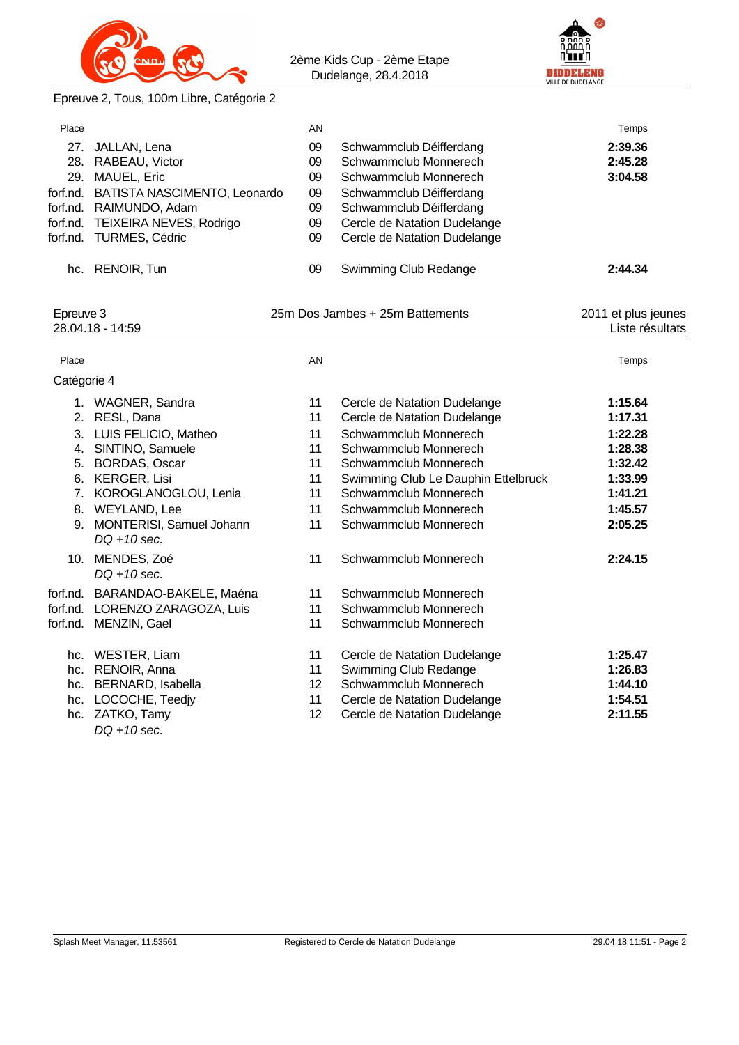



Epreuve 2, Tous, 100m Libre, Catégorie 2

| Place       |                                               | AN |                                     | Temps               |
|-------------|-----------------------------------------------|----|-------------------------------------|---------------------|
|             | 27. JALLAN, Lena                              | 09 | Schwammclub Déifferdang             | 2:39.36             |
|             | 28. RABEAU, Victor                            | 09 | Schwammclub Monnerech               | 2:45.28             |
|             | 29. MAUEL, Eric                               | 09 | Schwammclub Monnerech               | 3:04.58             |
|             | forf.nd. BATISTA NASCIMENTO, Leonardo         | 09 | Schwammclub Déifferdang             |                     |
|             | forf.nd. RAIMUNDO, Adam                       | 09 | Schwammclub Déifferdang             |                     |
|             | forf.nd. TEIXEIRA NEVES, Rodrigo              | 09 | Cercle de Natation Dudelange        |                     |
|             | forf.nd. TURMES, Cédric                       | 09 | Cercle de Natation Dudelange        |                     |
|             | hc. RENOIR, Tun                               | 09 | Swimming Club Redange               | 2:44.34             |
| Epreuve 3   |                                               |    | 25m Dos Jambes + 25m Battements     | 2011 et plus jeunes |
|             | 28.04.18 - 14:59                              |    |                                     | Liste résultats     |
| Place       |                                               | AN |                                     | Temps               |
| Catégorie 4 |                                               |    |                                     |                     |
|             | 1. WAGNER, Sandra                             | 11 | Cercle de Natation Dudelange        | 1:15.64             |
|             | 2. RESL, Dana                                 | 11 | Cercle de Natation Dudelange        | 1:17.31             |
|             | 3. LUIS FELICIO, Matheo                       | 11 | Schwammclub Monnerech               | 1:22.28             |
|             | 4. SINTINO, Samuele                           | 11 | Schwammclub Monnerech               | 1:28.38             |
|             | 5. BORDAS, Oscar                              | 11 | Schwammclub Monnerech               | 1:32.42             |
|             | 6. KERGER, Lisi                               | 11 | Swimming Club Le Dauphin Ettelbruck | 1:33.99             |
|             | 7. KOROGLANOGLOU, Lenia                       | 11 | Schwammclub Monnerech               | 1:41.21             |
|             | 8. WEYLAND, Lee                               | 11 | Schwammclub Monnerech               | 1:45.57             |
|             | 9. MONTERISI, Samuel Johann<br>$DQ + 10$ sec. | 11 | Schwammclub Monnerech               | 2:05.25             |
|             | 10. MENDES, Zoé<br>$DQ + 10$ sec.             | 11 | Schwammclub Monnerech               | 2:24.15             |
|             | forf.nd. BARANDAO-BAKELE, Maéna               | 11 | Schwammclub Monnerech               |                     |
|             | forf.nd. LORENZO ZARAGOZA, Luis               | 11 | Schwammclub Monnerech               |                     |
|             | forf.nd. MENZIN, Gael                         | 11 | Schwammclub Monnerech               |                     |
|             | hc. WESTER, Liam                              | 11 | Cercle de Natation Dudelange        | 1:25.47             |
|             | hc. RENOIR, Anna                              | 11 | Swimming Club Redange               | 1:26.83             |
|             | hc. BERNARD, Isabella                         | 12 | Schwammclub Monnerech               | 1:44.10             |
|             | hc. LOCOCHE, Teedjy                           | 11 | Cercle de Natation Dudelange        | 1:54.51             |
|             | hc. ZATKO, Tamy<br>$DQ + 10$ sec.             | 12 | Cercle de Natation Dudelange        | 2:11.55             |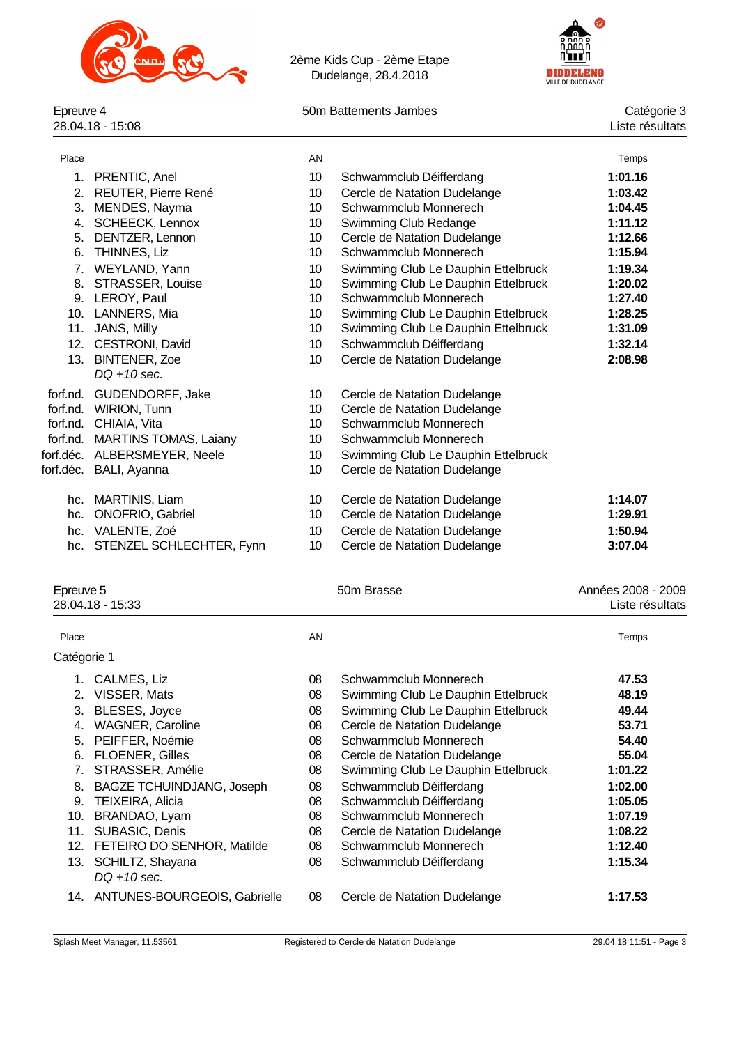



## Epreuve 4<br>28.04.18 - 15:08

## Epreuve 1 50m Battements Jambes<br>
Catégorie 3<br>
Liste résultats

| Place          |                                | AN               |                                     | Temps   |
|----------------|--------------------------------|------------------|-------------------------------------|---------|
|                | 1. PRENTIC, Anel               | 10               | Schwammclub Déifferdang             | 1:01.16 |
| 2 <sub>1</sub> | REUTER, Pierre René            | 10               | Cercle de Natation Dudelange        | 1:03.42 |
| 3.             | MENDES, Nayma                  | 10 <sup>10</sup> | Schwammclub Monnerech               | 1:04.45 |
| 4.             | <b>SCHEECK, Lennox</b>         | 10               | Swimming Club Redange               | 1:11.12 |
| 5.             | DENTZER, Lennon                | 10               | Cercle de Natation Dudelange        | 1:12.66 |
| 6.             | THINNES, Liz                   | 10               | Schwammclub Monnerech               | 1:15.94 |
| 7.             | WEYLAND, Yann                  | 10               | Swimming Club Le Dauphin Ettelbruck | 1:19.34 |
| 8.             | STRASSER, Louise               | 10 <sup>10</sup> | Swimming Club Le Dauphin Ettelbruck | 1:20.02 |
|                | 9. LEROY, Paul                 | 10 <sup>10</sup> | Schwammclub Monnerech               | 1:27.40 |
|                | 10. LANNERS, Mia               | 10               | Swimming Club Le Dauphin Ettelbruck | 1:28.25 |
| 11.            | JANS, Milly                    | 10               | Swimming Club Le Dauphin Ettelbruck | 1:31.09 |
|                | 12. CESTRONI, David            | 10               | Schwammclub Déifferdang             | 1:32.14 |
|                | 13. BINTENER, Zoe              | 10               | Cercle de Natation Dudelange        | 2:08.98 |
|                | $DQ + 10$ sec.                 |                  |                                     |         |
| forf.nd.       | GUDENDORFF, Jake               | 10               | Cercle de Natation Dudelange        |         |
|                | forf.nd. WIRION, Tunn          | 10               | Cercle de Natation Dudelange        |         |
|                | forf.nd. CHIAIA, Vita          | 10               | Schwammclub Monnerech               |         |
|                | forf.nd. MARTINS TOMAS, Laiany | 10               | Schwammclub Monnerech               |         |
|                | forf.déc. ALBERSMEYER, Neele   | 10 <sup>10</sup> | Swimming Club Le Dauphin Ettelbruck |         |
|                | forf.déc. BALI, Ayanna         | 10               | Cercle de Natation Dudelange        |         |
|                |                                |                  |                                     |         |
|                | hc. MARTINIS, Liam             | 10               | Cercle de Natation Dudelange        | 1:14.07 |
| hc.            | <b>ONOFRIO, Gabriel</b>        | 10               | Cercle de Natation Dudelange        | 1:29.91 |
|                | hc. VALENTE, Zoé               | 10               | Cercle de Natation Dudelange        | 1:50.94 |
| hc.            | STENZEL SCHLECHTER, Fynn       | 10               | Cercle de Natation Dudelange        | 3:07.04 |
|                |                                |                  |                                     |         |

### Epreuve 5 50m Brasse

| Années 2008 - 2009 |  |
|--------------------|--|
| Liste résultats    |  |

|             | 28.04.18 - 15:33                 |    |                                     | Liste résultats |
|-------------|----------------------------------|----|-------------------------------------|-----------------|
| Place       |                                  | AN |                                     | Temps           |
| Catégorie 1 |                                  |    |                                     |                 |
|             | CALMES, Liz                      | 08 | Schwammclub Monnerech               | 47.53           |
| 2.          | VISSER, Mats                     | 08 | Swimming Club Le Dauphin Ettelbruck | 48.19           |
| 3.          | BLESES, Joyce                    | 08 | Swimming Club Le Dauphin Ettelbruck | 49.44           |
| 4.          | <b>WAGNER, Caroline</b>          | 08 | Cercle de Natation Dudelange        | 53.71           |
| 5.          | PEIFFER, Noémie                  | 08 | Schwammclub Monnerech               | 54.40           |
| 6.          | <b>FLOENER, Gilles</b>           | 08 | Cercle de Natation Dudelange        | 55.04           |
| 7.          | STRASSER, Amélie                 | 08 | Swimming Club Le Dauphin Ettelbruck | 1:01.22         |
| 8.          | <b>BAGZE TCHUINDJANG, Joseph</b> | 08 | Schwammclub Déifferdang             | 1:02.00         |
| 9.          | <b>TEIXEIRA, Alicia</b>          | 08 | Schwammclub Déifferdang             | 1:05.05         |
| 10.         | BRANDAO, Lyam                    | 08 | Schwammclub Monnerech               | 1:07.19         |
| 11.         | SUBASIC, Denis                   | 08 | Cercle de Natation Dudelange        | 1:08.22         |
| 12.         | FETEIRO DO SENHOR, Matilde       | 08 | Schwammclub Monnerech               | 1:12.40         |
| 13.         | SCHILTZ, Shayana<br>DQ +10 sec.  | 08 | Schwammclub Déifferdang             | 1:15.34         |
|             | 14. ANTUNES-BOURGEOIS, Gabrielle | 08 | Cercle de Natation Dudelange        | 1:17.53         |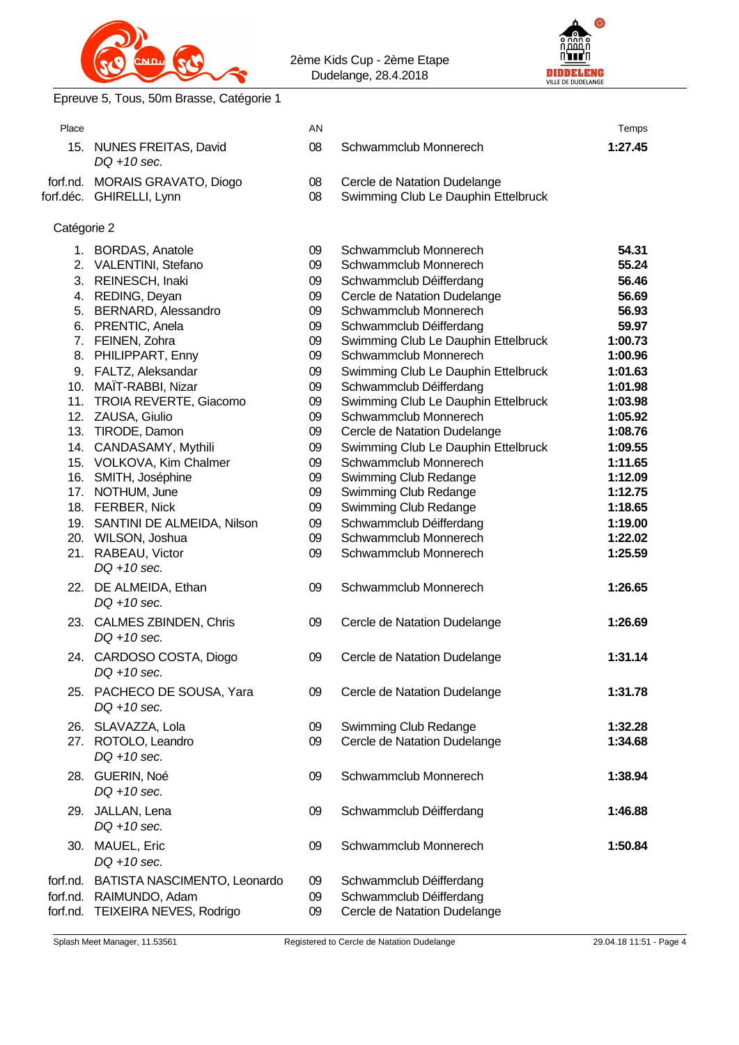



Epreuve 5, Tous, 50m Brasse, Catégorie 1

| Place |                                                            | AN       |                                                                     | Temps   |
|-------|------------------------------------------------------------|----------|---------------------------------------------------------------------|---------|
|       | 15. NUNES FREITAS, David<br>$DO + 10$ sec.                 | 08       | Schwammclub Monnerech                                               | 1:27.45 |
|       | forf.nd. MORAIS GRAVATO, Diogo<br>forf.déc. GHIRELLI, Lynn | 08<br>08 | Cercle de Natation Dudelange<br>Swimming Club Le Dauphin Ettelbruck |         |

### Catégorie 2

|          | 1. BORDAS, Anatole                           | 09 | Schwammclub Monnerech               | 54.31   |
|----------|----------------------------------------------|----|-------------------------------------|---------|
|          | 2. VALENTINI, Stefano                        | 09 | Schwammclub Monnerech               | 55.24   |
|          | 3. REINESCH, Inaki                           | 09 | Schwammclub Déifferdang             | 56.46   |
|          | 4. REDING, Deyan                             | 09 | Cercle de Natation Dudelange        | 56.69   |
|          | 5. BERNARD, Alessandro                       | 09 | Schwammclub Monnerech               | 56.93   |
|          | 6. PRENTIC, Anela                            | 09 | Schwammclub Déifferdang             | 59.97   |
|          | 7. FEINEN, Zohra                             | 09 | Swimming Club Le Dauphin Ettelbruck | 1:00.73 |
|          | 8. PHILIPPART, Enny                          | 09 | Schwammclub Monnerech               | 1:00.96 |
|          | 9. FALTZ, Aleksandar                         | 09 | Swimming Club Le Dauphin Ettelbruck | 1:01.63 |
|          | 10. MAÏT-RABBI, Nizar                        | 09 | Schwammclub Déifferdang             | 1:01.98 |
|          | 11. TROIA REVERTE, Giacomo                   | 09 | Swimming Club Le Dauphin Ettelbruck | 1:03.98 |
|          | 12. ZAUSA, Giulio                            | 09 | Schwammclub Monnerech               | 1:05.92 |
|          | 13. TIRODE, Damon                            | 09 | Cercle de Natation Dudelange        | 1:08.76 |
|          | 14. CANDASAMY, Mythili                       | 09 | Swimming Club Le Dauphin Ettelbruck | 1:09.55 |
|          | 15. VOLKOVA, Kim Chalmer                     | 09 | Schwammclub Monnerech               | 1:11.65 |
|          | 16. SMITH, Joséphine                         | 09 | Swimming Club Redange               | 1:12.09 |
|          | 17. NOTHUM, June                             | 09 | Swimming Club Redange               | 1:12.75 |
|          | 18. FERBER, Nick                             | 09 | Swimming Club Redange               | 1:18.65 |
|          | 19. SANTINI DE ALMEIDA, Nilson               | 09 | Schwammclub Déifferdang             | 1:19.00 |
|          | 20. WILSON, Joshua                           | 09 | Schwammclub Monnerech               | 1:22.02 |
|          | 21. RABEAU, Victor                           | 09 | Schwammclub Monnerech               | 1:25.59 |
|          | $DQ + 10$ sec.                               |    |                                     |         |
|          | 22. DE ALMEIDA, Ethan<br>$DQ + 10$ sec.      | 09 | Schwammclub Monnerech               | 1:26.65 |
|          | 23. CALMES ZBINDEN, Chris<br>$DQ + 10$ sec.  | 09 | Cercle de Natation Dudelange        | 1:26.69 |
|          | 24. CARDOSO COSTA, Diogo<br>$DQ + 10$ sec.   | 09 | Cercle de Natation Dudelange        | 1:31.14 |
|          | 25. PACHECO DE SOUSA, Yara<br>$DQ + 10$ sec. | 09 | Cercle de Natation Dudelange        | 1:31.78 |
|          | 26. SLAVAZZA, Lola                           | 09 | Swimming Club Redange               | 1:32.28 |
|          | 27. ROTOLO, Leandro                          | 09 | Cercle de Natation Dudelange        | 1:34.68 |
|          | $DQ + 10$ sec.                               |    |                                     |         |
|          | 28. GUERIN, Noé<br>DQ +10 sec.               | 09 | Schwammclub Monnerech               | 1:38.94 |
|          | 29. JALLAN, Lena                             | 09 | Schwammclub Déifferdang             | 1:46.88 |
|          | $DQ + 10$ sec.                               |    |                                     |         |
|          | 30. MAUEL, Eric<br>$DQ + 10$ sec.            | 09 | Schwammclub Monnerech               | 1:50.84 |
| forf.nd. | BATISTA NASCIMENTO, Leonardo                 | 09 | Schwammclub Déifferdang             |         |
| forf.nd. | RAIMUNDO, Adam                               | 09 | Schwammclub Déifferdang             |         |
|          | forf.nd. TEIXEIRA NEVES, Rodrigo             | 09 | Cercle de Natation Dudelange        |         |
|          |                                              |    |                                     |         |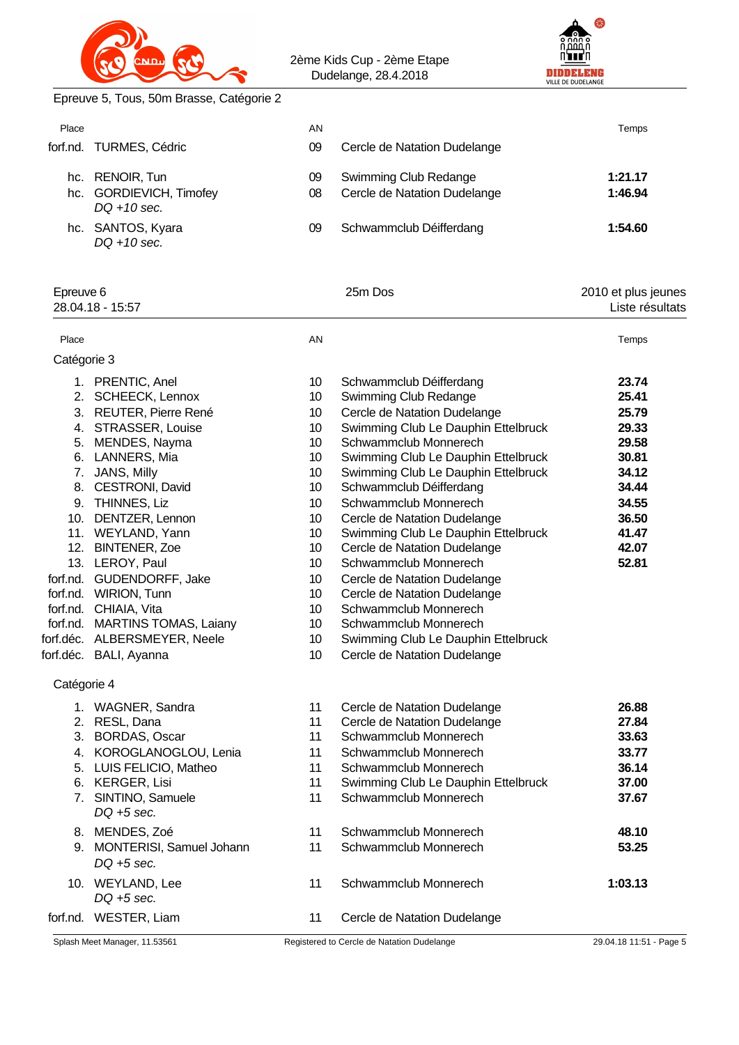



Epreuve 5, Tous, 50m Brasse, Catégorie 2

| Place | forf.nd. TURMES, Cédric                                      | AN<br>09 | Cercle de Natation Dudelange                          | Temps              |
|-------|--------------------------------------------------------------|----------|-------------------------------------------------------|--------------------|
|       | hc. RENOIR, Tun<br>hc. GORDIEVICH, Timofey<br>$DO + 10$ sec. | 09<br>08 | Swimming Club Redange<br>Cercle de Natation Dudelange | 1:21.17<br>1:46.94 |
|       | hc. SANTOS, Kyara<br>$DQ + 10$ sec.                          | 09       | Schwammclub Déifferdang                               | 1:54.60            |

| Epreuve 6<br>28.04.18 - 15:57 |                                      |    | 25m Dos                             | 2010 et plus jeunes<br>Liste résultats |
|-------------------------------|--------------------------------------|----|-------------------------------------|----------------------------------------|
| Place                         |                                      | AN |                                     | Temps                                  |
| Catégorie 3                   |                                      |    |                                     |                                        |
|                               | 1. PRENTIC, Anel                     | 10 | Schwammclub Déifferdang             | 23.74                                  |
|                               | 2. SCHEECK, Lennox                   | 10 | Swimming Club Redange               | 25.41                                  |
|                               | 3. REUTER, Pierre René               | 10 | Cercle de Natation Dudelange        | 25.79                                  |
| 4.                            | <b>STRASSER, Louise</b>              | 10 | Swimming Club Le Dauphin Ettelbruck | 29.33                                  |
| 5.                            | MENDES, Nayma                        | 10 | Schwammclub Monnerech               | 29.58                                  |
| 6.                            | LANNERS, Mia                         | 10 | Swimming Club Le Dauphin Ettelbruck | 30.81                                  |
| 7.                            | JANS, Milly                          | 10 | Swimming Club Le Dauphin Ettelbruck | 34.12                                  |
| 8.                            | CESTRONI, David                      | 10 | Schwammclub Déifferdang             | 34.44                                  |
| 9.                            | THINNES, Liz                         | 10 | Schwammclub Monnerech               | 34.55                                  |
|                               | 10. DENTZER, Lennon                  | 10 | Cercle de Natation Dudelange        | 36.50                                  |
|                               | 11. WEYLAND, Yann                    | 10 | Swimming Club Le Dauphin Ettelbruck | 41.47                                  |
|                               | 12. BINTENER, Zoe                    | 10 | Cercle de Natation Dudelange        | 42.07                                  |
|                               | 13. LEROY, Paul                      | 10 | Schwammclub Monnerech               | 52.81                                  |
|                               | forf.nd. GUDENDORFF, Jake            | 10 | Cercle de Natation Dudelange        |                                        |
|                               | forf.nd. WIRION, Tunn                | 10 | Cercle de Natation Dudelange        |                                        |
|                               | forf.nd. CHIAIA, Vita                | 10 | Schwammclub Monnerech               |                                        |
|                               | forf.nd. MARTINS TOMAS, Laiany       | 10 | Schwammclub Monnerech               |                                        |
|                               | forf.déc. ALBERSMEYER, Neele         | 10 | Swimming Club Le Dauphin Ettelbruck |                                        |
|                               | forf.déc. BALI, Ayanna               | 10 | Cercle de Natation Dudelange        |                                        |
| Catégorie 4                   |                                      |    |                                     |                                        |
|                               | 1. WAGNER, Sandra                    | 11 | Cercle de Natation Dudelange        | 26.88                                  |
|                               | 2. RESL, Dana                        | 11 | Cercle de Natation Dudelange        | 27.84                                  |
|                               | 3. BORDAS, Oscar                     | 11 | Schwammclub Monnerech               | 33.63                                  |
|                               | 4. KOROGLANOGLOU, Lenia              | 11 | Schwammclub Monnerech               | 33.77                                  |
|                               | 5. LUIS FELICIO, Matheo              | 11 | Schwammclub Monnerech               | 36.14                                  |
|                               | 6. KERGER, Lisi                      | 11 | Swimming Club Le Dauphin Ettelbruck | 37.00                                  |
|                               | 7. SINTINO, Samuele<br>$DQ + 5$ sec. | 11 | Schwammclub Monnerech               | 37.67                                  |
|                               | 8. MENDES, Zoé                       | 11 | Schwammclub Monnerech               | 48.10                                  |
|                               | 9. MONTERISI, Samuel Johann          | 11 | Schwammclub Monnerech               | 53.25                                  |
|                               | $DQ + 5$ sec.                        |    |                                     |                                        |
|                               | 10. WEYLAND, Lee<br>$DQ + 5$ sec.    | 11 | Schwammclub Monnerech               | 1:03.13                                |
|                               | forf.nd. WESTER, Liam                | 11 | Cercle de Natation Dudelange        |                                        |